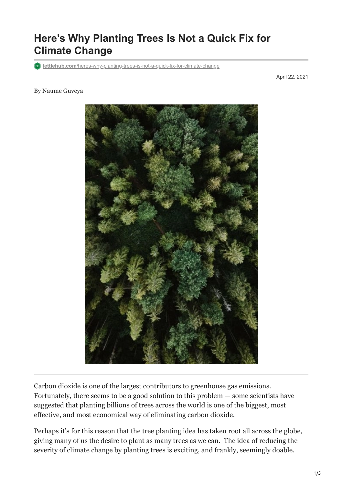# **Here's Why Planting Trees Is Not a Quick Fix for Climate Change**

**fettlehub.com**[/heres-why-planting-trees-is-not-a-quick-fix-for-climate-change](https://fettlehub.com/heres-why-planting-trees-is-not-a-quick-fix-for-climate-change/)

April 22, 2021

#### By Naume Guveya



Carbon dioxide is one of the largest contributors to greenhouse gas emissions. Fortunately, there seems to be a good solution to this problem — some scientists have suggested that planting billions of trees across the world is one of the biggest, most effective, and most economical way of eliminating carbon dioxide.

Perhaps it's for this reason that the tree planting idea has taken root all across the globe, giving many of us the desire to plant as many trees as we can. The idea of reducing the severity of climate change by planting trees is exciting, and frankly, seemingly doable.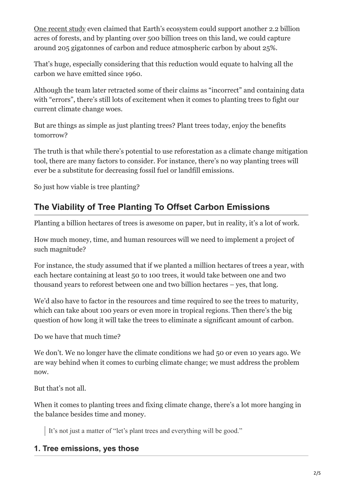[One recent study](https://science.sciencemag.org/content/365/6448/76) even claimed that Earth's ecosystem could support another 2.2 billion acres of forests, and by planting over 500 billion trees on this land, we could capture around 205 gigatonnes of carbon and reduce atmospheric carbon by about 25%.

That's huge, especially considering that this reduction would equate to halving all the carbon we have emitted since 1960.

Although the team later retracted some of their claims as "incorrect" and containing data with "errors", there's still lots of excitement when it comes to planting trees to fight our current climate change woes.

But are things as simple as just planting trees? Plant trees today, enjoy the benefits tomorrow?

The truth is that while there's potential to use reforestation as a climate change mitigation tool, there are many factors to consider. For instance, there's no way planting trees will ever be a substitute for decreasing fossil fuel or landfill emissions.

So just how viable is tree planting?

## **The Viability of Tree Planting To Offset Carbon Emissions**

Planting a billion hectares of trees is awesome on paper, but in reality, it's a lot of work.

How much money, time, and human resources will we need to implement a project of such magnitude?

For instance, the study assumed that if we planted a million hectares of trees a year, with each hectare containing at least 50 to 100 trees, it would take between one and two thousand years to reforest between one and two billion hectares – yes, that long.

We'd also have to factor in the resources and time required to see the trees to maturity, which can take about 100 years or even more in tropical regions. Then there's the big question of how long it will take the trees to eliminate a significant amount of carbon.

Do we have that much time?

We don't. We no longer have the climate conditions we had 50 or even 10 years ago. We are way behind when it comes to curbing climate change; we must address the problem now.

But that's not all.

When it comes to planting trees and fixing climate change, there's a lot more hanging in the balance besides time and money.

It's not just a matter of "let's plant trees and everything will be good."

### **1. Tree emissions, yes those**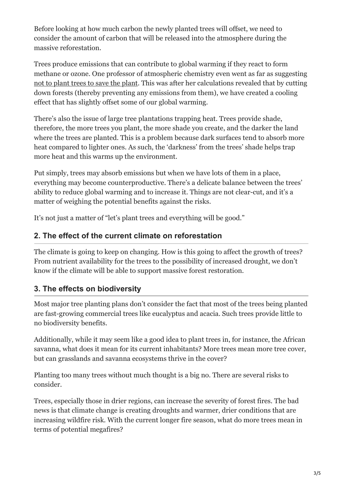Before looking at how much carbon the newly planted trees will offset, we need to consider the amount of carbon that will be released into the atmosphere during the massive reforestation.

Trees produce emissions that can contribute to global warming if they react to form methane or ozone. One professor of atmospheric chemistry even went as far as suggesting [not to plant trees to save the plant](https://www.nytimes.com/2014/09/20/opinion/to-save-the-planet-dont-plant-trees.html). This was after her calculations revealed that by cutting down forests (thereby preventing any emissions from them), we have created a cooling effect that has slightly offset some of our global warming.

There's also the issue of large tree plantations trapping heat. Trees provide shade, therefore, the more trees you plant, the more shade you create, and the darker the land where the trees are planted. This is a problem because dark surfaces tend to absorb more heat compared to lighter ones. As such, the 'darkness' from the trees' shade helps trap more heat and this warms up the environment.

Put simply, trees may absorb emissions but when we have lots of them in a place, everything may become counterproductive. There's a delicate balance between the trees' ability to reduce global warming and to increase it. Things are not clear-cut, and it's a matter of weighing the potential benefits against the risks.

It's not just a matter of "let's plant trees and everything will be good."

#### **2. The effect of the current climate on reforestation**

The climate is going to keep on changing. How is this going to affect the growth of trees? From nutrient availability for the trees to the possibility of increased drought, we don't know if the climate will be able to support massive forest restoration.

### **3. The effects on biodiversity**

Most major tree planting plans don't consider the fact that most of the trees being planted are fast-growing commercial trees like eucalyptus and acacia. Such trees provide little to no biodiversity benefits.

Additionally, while it may seem like a good idea to plant trees in, for instance, the African savanna, what does it mean for its current inhabitants? More trees mean more tree cover, but can grasslands and savanna ecosystems thrive in the cover?

Planting too many trees without much thought is a big no. There are several risks to consider.

Trees, especially those in drier regions, can increase the severity of forest fires. The bad news is that climate change is creating droughts and warmer, drier conditions that are increasing wildfire risk. With the current longer fire season, what do more trees mean in terms of potential megafires?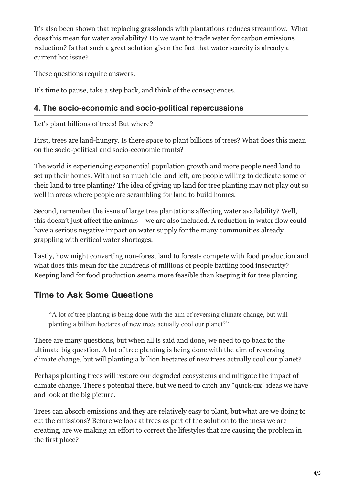It's also been shown that replacing grasslands with plantations reduces streamflow. What does this mean for water availability? Do we want to trade water for carbon emissions reduction? Is that such a great solution given the fact that water scarcity is already a current hot issue?

These questions require answers.

It's time to pause, take a step back, and think of the consequences.

### **4. The socio-economic and socio-political repercussions**

Let's plant billions of trees! But where?

First, trees are land-hungry. Is there space to plant billions of trees? What does this mean on the socio-political and socio-economic fronts?

The world is experiencing exponential population growth and more people need land to set up their homes. With not so much idle land left, are people willing to dedicate some of their land to tree planting? The idea of giving up land for tree planting may not play out so well in areas where people are scrambling for land to build homes.

Second, remember the issue of large tree plantations affecting water availability? Well, this doesn't just affect the animals – we are also included. A reduction in water flow could have a serious negative impact on water supply for the many communities already grappling with critical water shortages.

Lastly, how might converting non-forest land to forests compete with food production and what does this mean for the hundreds of millions of people battling food insecurity? Keeping land for food production seems more feasible than keeping it for tree planting.

## **Time to Ask Some Questions**

"A lot of tree planting is being done with the aim of reversing climate change, but will planting a billion hectares of new trees actually cool our planet?"

There are many questions, but when all is said and done, we need to go back to the ultimate big question. A lot of tree planting is being done with the aim of reversing climate change, but will planting a billion hectares of new trees actually cool our planet?

Perhaps planting trees will restore our degraded ecosystems and mitigate the impact of climate change. There's potential there, but we need to ditch any "quick-fix" ideas we have and look at the big picture.

Trees can absorb emissions and they are relatively easy to plant, but what are we doing to cut the emissions? Before we look at trees as part of the solution to the mess we are creating, are we making an effort to correct the lifestyles that are causing the problem in the first place?